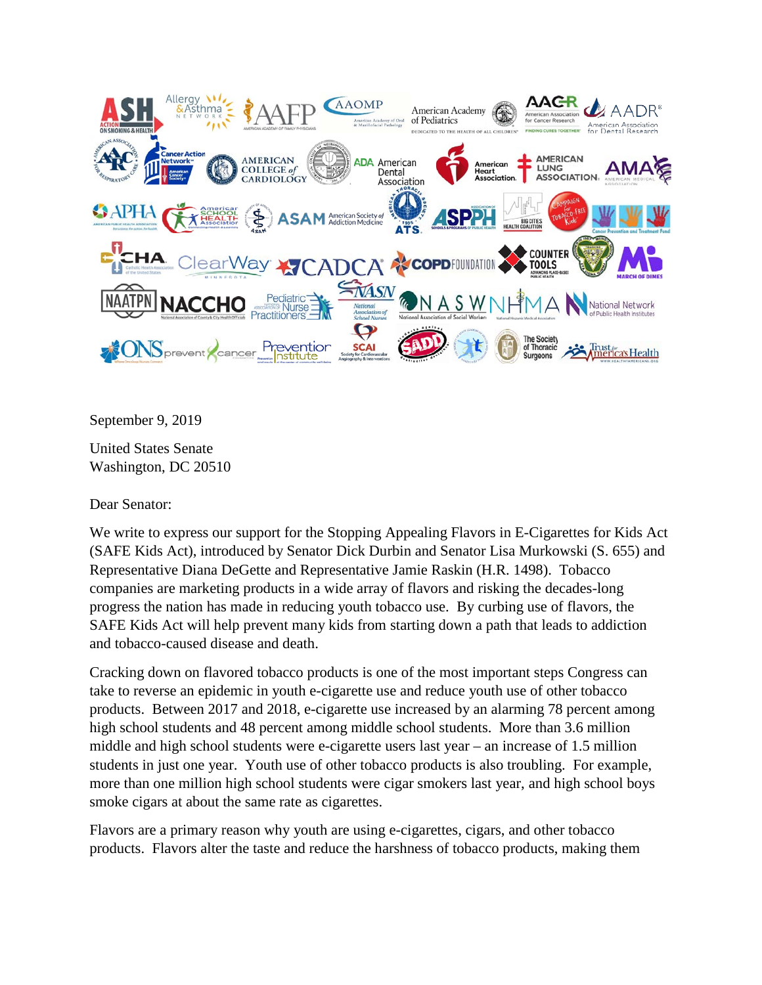

September 9, 2019

United States Senate Washington, DC 20510

Dear Senator:

We write to express our support for the Stopping Appealing Flavors in E-Cigarettes for Kids Act (SAFE Kids Act), introduced by Senator Dick Durbin and Senator Lisa Murkowski (S. 655) and Representative Diana DeGette and Representative Jamie Raskin (H.R. 1498). Tobacco companies are marketing products in a wide array of flavors and risking the decades-long progress the nation has made in reducing youth tobacco use. By curbing use of flavors, the SAFE Kids Act will help prevent many kids from starting down a path that leads to addiction and tobacco-caused disease and death.

Cracking down on flavored tobacco products is one of the most important steps Congress can take to reverse an epidemic in youth e-cigarette use and reduce youth use of other tobacco products. Between 2017 and 2018, e-cigarette use increased by an alarming 78 percent among high school students and 48 percent among middle school students. More than 3.6 million middle and high school students were e-cigarette users last year – an increase of 1.5 million students in just one year. Youth use of other tobacco products is also troubling. For example, more than one million high school students were cigar smokers last year, and high school boys smoke cigars at about the same rate as cigarettes.

Flavors are a primary reason why youth are using e-cigarettes, cigars, and other tobacco products. Flavors alter the taste and reduce the harshness of tobacco products, making them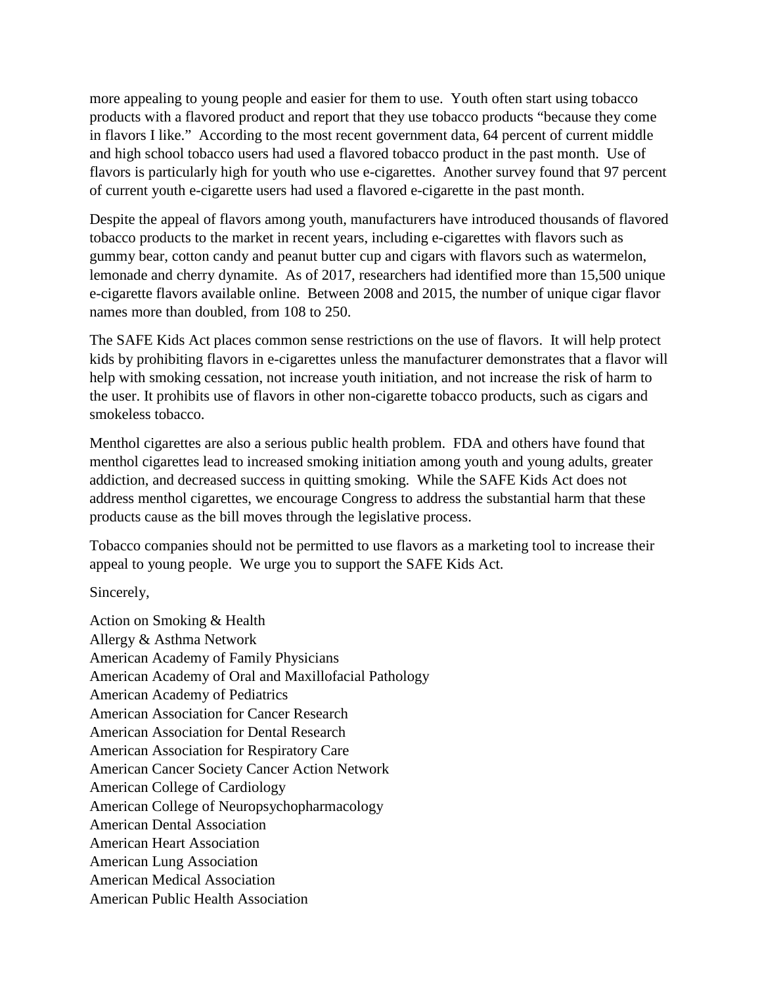more appealing to young people and easier for them to use. Youth often start using tobacco products with a flavored product and report that they use tobacco products "because they come in flavors I like." According to the most recent government data, 64 percent of current middle and high school tobacco users had used a flavored tobacco product in the past month. Use of flavors is particularly high for youth who use e-cigarettes. Another survey found that 97 percent of current youth e-cigarette users had used a flavored e-cigarette in the past month.

Despite the appeal of flavors among youth, manufacturers have introduced thousands of flavored tobacco products to the market in recent years, including e-cigarettes with flavors such as gummy bear, cotton candy and peanut butter cup and cigars with flavors such as watermelon, lemonade and cherry dynamite. As of 2017, researchers had identified more than 15,500 unique e-cigarette flavors available online. Between 2008 and 2015, the number of unique cigar flavor names more than doubled, from 108 to 250.

The SAFE Kids Act places common sense restrictions on the use of flavors. It will help protect kids by prohibiting flavors in e-cigarettes unless the manufacturer demonstrates that a flavor will help with smoking cessation, not increase youth initiation, and not increase the risk of harm to the user. It prohibits use of flavors in other non-cigarette tobacco products, such as cigars and smokeless tobacco.

Menthol cigarettes are also a serious public health problem. FDA and others have found that menthol cigarettes lead to increased smoking initiation among youth and young adults, greater addiction, and decreased success in quitting smoking. While the SAFE Kids Act does not address menthol cigarettes, we encourage Congress to address the substantial harm that these products cause as the bill moves through the legislative process.

Tobacco companies should not be permitted to use flavors as a marketing tool to increase their appeal to young people. We urge you to support the SAFE Kids Act.

Sincerely,

Action on Smoking & Health Allergy & Asthma Network American Academy of Family Physicians American Academy of Oral and Maxillofacial Pathology American Academy of Pediatrics American Association for Cancer Research American Association for Dental Research American Association for Respiratory Care American Cancer Society Cancer Action Network American College of Cardiology American College of Neuropsychopharmacology American Dental Association American Heart Association American Lung Association American Medical Association American Public Health Association